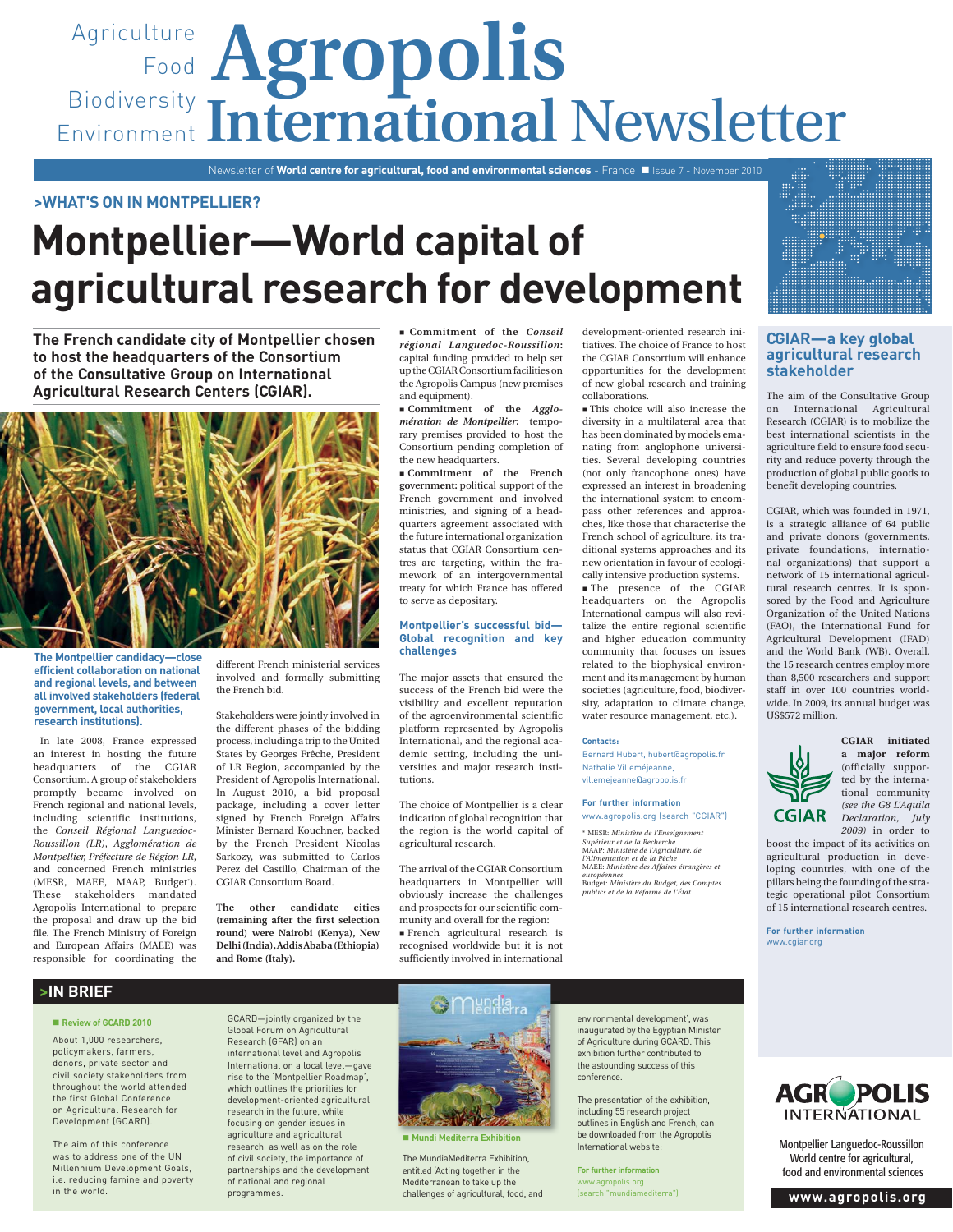# Agriculture **Agropolis** Food Biodiversity Environment International Newsletter

Newsletter of **World centre for agricultural, food and environmental sciences** - France Issue 7 - November 2010

## **>WHAT'S ON IN MONTPELLIER?**

# **Montpellier—World capital of agricultural research for development**

**The French candidate city of Montpellier chosen to host the headquarters of the Consortium of the Consultative Group on International Agricultural Research Centers (CGIAR).**



**The Montpellier candidacy—close efficient collaboration on national and regional levels, and between all involved stakeholders (federal government, local authorities, research institutions).**

 In late 2008, France expressed an interest in hosting the future headquarters of the CGIAR Consortium. A group of stakeholders promptly became involved on French regional and national levels, including scientific institutions, the *Conseil Régional Languedoc-Roussillon (LR)*, *Agglomération de Montpellier, Préfecture de Région LR*, and concerned French ministries (MESR, MAEE, MAAP, Budget\*). These stakeholders mandated Agropolis International to prepare the proposal and draw up the bid file. The French Ministry of Foreign and European Affairs (MAEE) was responsible for coordinating the

different French ministerial services involved and formally submitting the French bid.

Stakeholders were jointly involved in the different phases of the bidding process, including a trip to the United States by Georges Frêche, President of LR Region, accompanied by the President of Agropolis International. In August 2010, a bid proposal package, including a cover letter signed by French Foreign Affairs Minister Bernard Kouchner, backed by the French President Nicolas Sarkozy, was submitted to Carlos Perez del Castillo, Chairman of the CGIAR Consortium Board.

**The other candidate cities (remaining after the first selection round) were Nairobi (Kenya), New Delhi (India), Addis Ababa (Ethiopia) and Rome (Italy).**

 **Commitment of the** *Conseil régional Languedoc-Roussillon***:**  capital funding provided to help set up the CGIAR Consortium facilities on the Agropolis Campus (new premises and equipment).

 **Commitment of the** *Agglomération de Montpellier***:** temporary premises provided to host the Consortium pending completion of the new headquarters.

 **Commitment of the French government:** political support of the French government and involved ministries, and signing of a headquarters agreement associated with the future international organization status that CGIAR Consortium centres are targeting, within the framework of an intergovernmental treaty for which France has offered to serve as depositary.

## **Montpellier's successful bid— Global recognition and key challenges**

The major assets that ensured the success of the French bid were the visibility and excellent reputation of the agroenvironmental scientific platform represented by Agropolis International, and the regional academic setting, including the universities and major research institutions.

The choice of Montpellier is a clear indication of global recognition that the region is the world capital of agricultural research.

The arrival of the CGIAR Consortium headquarters in Montpellier will obviously increase the challenges and prospects for our scientific community and overall for the region: French agricultural research is recognised worldwide but it is not sufficiently involved in international development-oriented research initiatives. The choice of France to host the CGIAR Consortium will enhance opportunities for the development of new global research and training collaborations.

 This choice will also increase the diversity in a multilateral area that has been dominated by models emanating from anglophone universities. Several developing countries (not only francophone ones) have expressed an interest in broadening the international system to encompass other references and approaches, like those that characterise the French school of agriculture, its traditional systems approaches and its new orientation in favour of ecologically intensive production systems. The presence of the CGIAR headquarters on the Agropolis International campus will also revitalize the entire regional scientific and higher education community community that focuses on issues related to the biophysical environment and its management by human societies (agriculture, food, biodiversity, adaptation to climate change, water resource management, etc.).

### **Contacts:**

Bernard Hubert, hubert@agropolis.fr Nathalie Villeméjeanne, villemejeanne@agropolis.fr

### **For further information** www.agropolis.org (search "CGIAR")

\* MESR: *Ministère de l'Enseignement Supérieur et de la Recherche* MAAP: *Ministère de l'Agriculture, de l'Alimentation et de la Pêche* MAEE: *Ministère des Affaires étrangères et européennes* Budget: *Ministère du Budget, des Comptes publics et de la Réforme de l'État*

## **CGIAR—a key global agricultural research stakeholder**

The aim of the Consultative Group on International Agricultural Research (CGIAR) is to mobilize the best international scientists in the agriculture field to ensure food security and reduce poverty through the production of global public goods to benefit developing countries.

CGIAR, which was founded in 1971, is a strategic alliance of 64 public and private donors (governments, private foundations, international organizations) that support a network of 15 international agricultural research centres. It is sponsored by the Food and Agriculture Organization of the United Nations (FAO), the International Fund for Agricultural Development (IFAD) and the World Bank (WB). Overall, the 15 research centres employ more than 8,500 researchers and support staff in over 100 countries worldwide. In 2009, its annual budget was US\$572 million.



**CGIAR initiated a major reform**  (officially supported by the international community *(see the G8 L'Aquila Declaration, July 2009)* in order to

boost the impact of its activities on agricultural production in developing countries, with one of the pillars being the founding of the strategic operational pilot Consortium of 15 international research centres.

**For further information** www.cgiar.org

## **>IN BRIEF**

## **Review of GCARD 2010**

About 1,000 researchers, policymakers, farmers, donors, private sector and civil society stakeholders from throughout the world attended the first Global Conference on Agricultural Research for Development (GCARD).

The aim of this conference was to address one of the UN Millennium Development Goals, i.e. reducing famine and poverty in the world.

GCARD—jointly organized by the Global Forum on Agricultural Research (GFAR) on an international level and Agropolis International on a local level—gave rise to the 'Montpellier Roadmap', which outlines the priorities for development-oriented agricultural research in the future, while focusing on gender issues in agriculture and agricultural research, as well as on the role of civil society, the importance of partnerships and the development of national and regional programmes.



 $\blacksquare$  **Mundi Mediterra Exhibition** 

The MundiaMediterra Exhibition, entitled 'Acting together in the Mediterranean to take up the challenges of agricultural, food, and

environmental development', was inaugurated by the Egyptian Minister of Agriculture during GCARD. This exhibition further contributed to the astounding success of this conference.

The presentation of the exhibition, including 55 research project outlines in English and French, can be downloaded from the Agropolis International website:

**For further information** www.agropolis.org (search "mundiamediterra")



Montpellier Languedoc-Roussillon World centre for agricultural, food and environmental sciences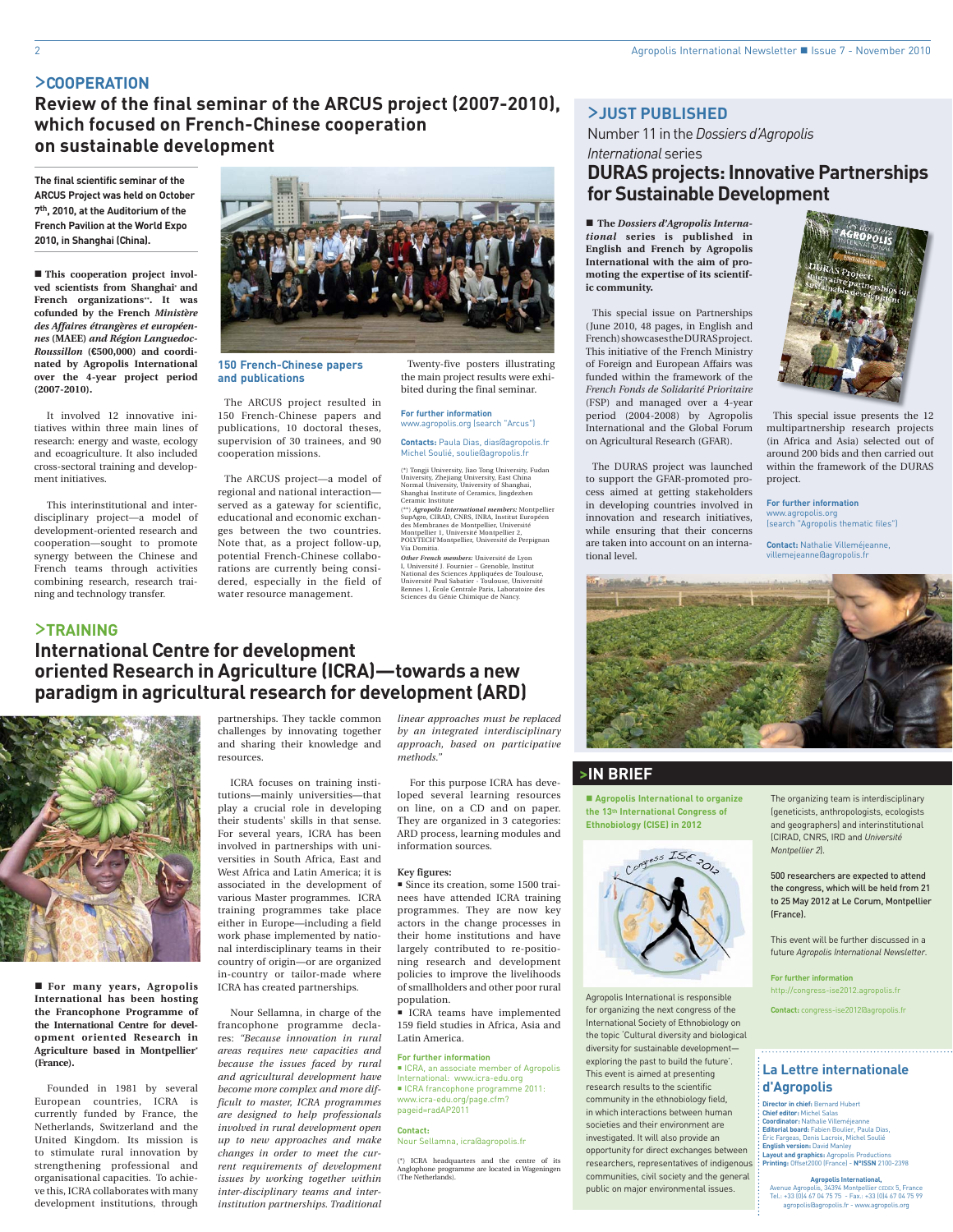## >**COOPERATION**

**Review of the final seminar of the ARCUS project (2007-2010), which focused on French-Chinese cooperation on sustainable development**

**The final scientific seminar of the ARCUS Project was held on October 7th, 2010, at the Auditorium of the French Pavilion at the World Expo 2010, in Shanghai (China).**

**This cooperation project involved scientists from Shanghai\* and French organizations\*\*. It was cofunded by the French** *Ministère des Affaires étrangères et européennes* **(MAEE)** *and Région Languedoc-Roussillon* **(€500,000) and coordinated by Agropolis International over the 4-year project period (2007-2010).**

It involved 12 innovative initiatives within three main lines of research: energy and waste, ecology and ecoagriculture. It also included cross-sectoral training and development initiatives.

This interinstitutional and interdisciplinary project—a model of development-oriented research and cooperation—sought to promote synergy between the Chinese and French teams through activities combining research, research training and technology transfer.

>**TRAINING**



### **150 French-Chinese papers and publications**

The ARCUS project resulted in 150 French-Chinese papers and publications, 10 doctoral theses, supervision of 30 trainees, and 90 cooperation missions.

The ARCUS project—a model of regional and national interaction served as a gateway for scientific, educational and economic exchanges between the two countries. Note that, as a project follow-up, potential French-Chinese collaborations are currently being considered, especially in the field of water resource management.

Twenty-five posters illustrating the main project results were exhibited during the final seminar.

**For further information** www.agropolis.org (search "Arcus")

**Contacts:** Paula Dias, dias@agropolis.fr Michel Soulié, soulie@agropolis.fr

(\*) Tongji University, Jiao Tong University, Fudan University, Zhejiang University, East China Normal University, University of Shanghai, Shanghai Institute of Ceramics, Jingdezhen Ceramic Institute

(\*\*) *Agropolis International members:* Montpellier SupAgro, CIRAD, CNRS, INRA, Institut Européen des Membranes de Montpellier, Université Montpellier 1, Université Montpellier 2, POLYTECH'Montpellier, Université de Perpignan Via Domitia.

*Other French members:* Université de Lyon I, Université J. Fournier – Grenoble, Institut National des Sciences Appliquées de Toulouse, Université Paul Sabatier - Toulouse, Université Rennes 1, École Centrale Paris, Laboratoire des Sciences du Génie Chimique de Nancy.

## **International Centre for development oriented Research in Agriculture (ICRA)—towards a new paradigm in agricultural research for development (ARD)**



 **For many years, Agropolis International has been hosting the Francophone Programme of the International Centre for development oriented Research in Agriculture based in Montpellier\* (France).**

Founded in 1981 by several European countries, ICRA is currently funded by France, the Netherlands, Switzerland and the United Kingdom. Its mission is to stimulate rural innovation by strengthening professional and organisational capacities. To achieve this, ICRA collaborates with many development institutions, through

partnerships. They tackle common challenges by innovating together and sharing their knowledge and resources.

ICRA focuses on training institutions—mainly universities—that play a crucial role in developing their students' skills in that sense. For several years, ICRA has been involved in partnerships with universities in South Africa, East and West Africa and Latin America; it is associated in the development of various Master programmes. ICRA training programmes take place either in Europe—including a field work phase implemented by national interdisciplinary teams in their country of origin—or are organized in-country or tailor-made where ICRA has created partnerships.

Nour Sellamna, in charge of the francophone programme declares: *"Because innovation in rural areas requires new capacities and because the issues faced by rural and agricultural development have become more complex and more difficult to master, ICRA programmes are designed to help professionals involved in rural development open up to new approaches and make changes in order to meet the current requirements of development issues by working together within inter-disciplinary teams and interinstitution partnerships. Traditional* 

*linear approaches must be replaced by an integrated interdisciplinary approach, based on participative methods."*

For this purpose ICRA has developed several learning resources on line, on a CD and on paper. They are organized in 3 categories: ARD process, learning modules and information sources.

### **Key figures:**

 Since its creation, some 1500 trainees have attended ICRA training programmes. They are now key actors in the change processes in their home institutions and have largely contributed to re-positioning research and development policies to improve the livelihoods of smallholders and other poor rural population.

 ICRA teams have implemented 159 field studies in Africa, Asia and Latin America.

### **For further information**

■ ICRA, an associate member of Agropolis International: www.icra-edu.org ICRA francophone programme 2011: www.icra-edu.org/page.cfm? pageid=radAP2011

#### **Contact:**  Nour Sellamna, icra@agropolis.fr

(\*) ICRA headquarters and the centre of its Anglophone programme are located in Wageningen (The Netherlands).

## >**JUST PUBLISHED**

Number 11 in the *Dossiers d'Agropolis International* series

## **DURAS projects: Innovative Partnerships for Sustainable Development**

 **The** *Dossiers d'Agropolis International* **series is published in English and French by Agropolis International with the aim of promoting the expertise of its scientific community.**

This special issue on Partnerships (June 2010, 48 pages, in English and French) showcases the DURAS project. This initiative of the French Ministry of Foreign and European Affairs was funded within the framework of the *French Fonds de Solidarité Prioritaire*  (FSP) and managed over a 4-year period (2004-2008) by Agropolis International and the Global Forum on Agricultural Research (GFAR).

The DURAS project was launched to support the GFAR-promoted process aimed at getting stakeholders in developing countries involved in innovation and research initiatives, while ensuring that their concerns are taken into account on an international level.



This special issue presents the 12 multipartnership research projects (in Africa and Asia) selected out of around 200 bids and then carried out within the framework of the DURAS project.

**For further information** www.agropolis.org (search "Agropolis thematic files")

**Contact:** Nathalie Villeméjeanne, villemejeanne@agropolis.fr



## **>IN BRIEF**

 **Agropolis International to organize the 13th International Congress of Ethnobiology (CISE) in 2012**



Agropolis International is responsible for organizing the next congress of the International Society of Ethnobiology on the topic 'Cultural diversity and biological diversity for sustainable development exploring the past to build the future'. This event is aimed at presenting research results to the scientific community in the ethnobiology field, in which interactions between human societies and their environment are investigated. It will also provide an opportunity for direct exchanges between researchers, representatives of indigenous communities, civil society and the general public on major environmental issues.

The organizing team is interdisciplinary (geneticists, anthropologists, ecologists and geographers) and interinstitutional (CIRAD, CNRS, IRD and *Université Montpellier 2*).

500 researchers are expected to attend the congress, which will be held from 21 to 25 May 2012 at Le Corum, Montpellier (France).

This event will be further discussed in a future *Agropolis International Newsletter*.

**For further information** http://congress-ise2012.agropolis.fr

**Contact:** congress-ise2012@agropolis.fr

## **La Lettre internationale d'Agropolis**

**Director in chief:** Bernard Hubert **Chief editor:** Michel Salas **Coordinator:** Nathalie Villeméjeanne **Editorial board:** Fabien Boulier, Paula Dias, Éric Fargeas, Denis Lacroix, Michel Soulié **English version:** David Manley **Layout and graphics:** Agropolis Productions **Printing:** Offset2000 (France) - **N°ISSN** 2100-2398

**Agropolis International,**  Avenue Agropolis, 34394 Montpellier CEDEX 5, France Tel.: +33 (0)4 67 04 75 75 - Fax.: +33 (0)4 67 04 75 99 agropolis@agropolis.fr - www.agropolis.org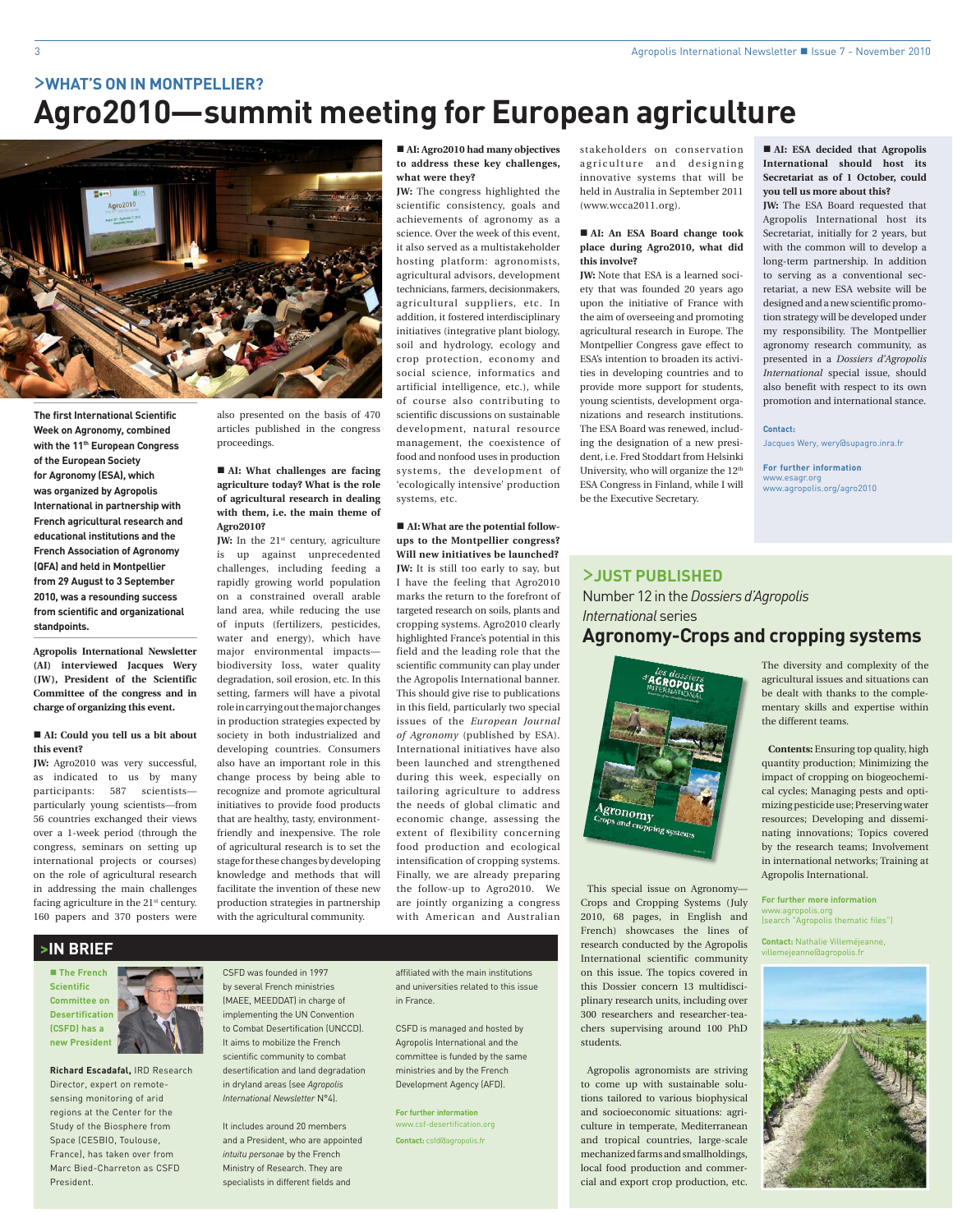# >**WHAT'S ON IN MONTPELLIER? Agro2010—summit meeting for European agriculture**



**The first International Scientific Week on Agronomy, combined with the 11th European Congress of the European Society for Agronomy (ESA), which was organized by Agropolis International in partnership with French agricultural research and educational institutions and the French Association of Agronomy (QFA) and held in Montpellier from 29 August to 3 September 2010, was a resounding success from scientific and organizational standpoints.**

**Agropolis International Newsletter (AI) interviewed Jacques Wery (JW), President of the Scientific Committee of the congress and in charge of organizing this event.**

## ■ AI: Could you tell us a bit about **this event?**

**JW:** Agro2010 was very successful, as indicated to us by many participants: 587 scientists particularly young scientists—from 56 countries exchanged their views over a 1-week period (through the congress, seminars on setting up international projects or courses) on the role of agricultural research in addressing the main challenges facing agriculture in the 21<sup>st</sup> century. 160 papers and 370 posters were

also presented on the basis of 470 articles published in the congress proceedings.

## ■ AI: What challenges are facing **agriculture today? What is the role of agricultural research in dealing with them, i.e. the main theme of Agro2010?**

**JW:** In the 21<sup>st</sup> century, agriculture is up against unprecedented challenges, including feeding a rapidly growing world population on a constrained overall arable land area, while reducing the use of inputs (fertilizers, pesticides, water and energy), which have major environmental impacts biodiversity loss, water quality degradation, soil erosion, etc. In this setting, farmers will have a pivotal role in carrying out the major changes in production strategies expected by society in both industrialized and developing countries. Consumers also have an important role in this change process by being able to recognize and promote agricultural initiatives to provide food products that are healthy, tasty, environmentfriendly and inexpensive. The role of agricultural research is to set the stage for these changes by developing knowledge and methods that will facilitate the invention of these new production strategies in partnership with the agricultural community.

■ AI: Agro2010 had many objectives **to address these key challenges, what were they?**

**JW:** The congress highlighted the scientific consistency, goals and achievements of agronomy as a science. Over the week of this event, it also served as a multistakeholder hosting platform: agronomists, agricultural advisors, development technicians, farmers, decisionmakers, agricultural suppliers, etc. In addition, it fostered interdisciplinary initiatives (integrative plant biology, soil and hydrology, ecology and crop protection, economy and social science, informatics and artificial intelligence, etc.), while of course also contributing to scientific discussions on sustainable development, natural resource management, the coexistence of food and nonfood uses in production systems, the development of 'ecologically intensive' production systems, etc.

■ **AI:** What are the potential follow**ups to the Montpellier congress? Will new initiatives be launched? JW:** It is still too early to say, but I have the feeling that Agro2010 marks the return to the forefront of targeted research on soils, plants and cropping systems. Agro2010 clearly highlighted France's potential in this field and the leading role that the scientific community can play under the Agropolis International banner. This should give rise to publications in this field, particularly two special issues of the *European Journal of Agronomy* (published by ESA). International initiatives have also been launched and strengthened during this week, especially on tailoring agriculture to address the needs of global climatic and economic change, assessing the extent of flexibility concerning food production and ecological intensification of cropping systems. Finally, we are already preparing the follow-up to Agro2010. We are jointly organizing a congress with American and Australian

**>IN BRIEF**

 **The French Scientific Committee on Desertification (CSFD) has a new President**



**Richard Escadafal,** IRD Research Director, expert on remotesensing monitoring of arid regions at the Center for the Study of the Biosphere from Space (CESBIO, Toulouse, France), has taken over from Marc Bied-Charreton as CSFD President.

CSFD was founded in 1997 by several French ministries (MAEE, MEEDDAT) in charge of implementing the UN Convention to Combat Desertification (UNCCD). It aims to mobilize the French scientific community to combat desertification and land degradation in dryland areas (see *Agropolis International Newsletter* N°4).

**EALD and Agropolis International and Agropolis International Agropolis International Agropolis International** It includes around 20 members and a President, who are appointed *intuitu personae* by the French Ministry of Research. They are

affiliated with the main institutions and universities related to this issue in France.

CSFD is managed and hosted by Agropolis International and the committee is funded by the same ministries and by the French Development Agency (AFD).

**For further information** www.csf-desertification.org **Contact:** csfd@agropolis.fr

stakeholders on conservation agriculture and designing innovative systems that will be held in Australia in September 2011 (www.wcca2011.org).

## **AI: An ESA Board change took place during Agro2010, what did this involve?**

**JW:** Note that ESA is a learned society that was founded 20 years ago upon the initiative of France with the aim of overseeing and promoting agricultural research in Europe. The Montpellier Congress gave effect to ESA's intention to broaden its activities in developing countries and to provide more support for students, young scientists, development organizations and research institutions. The ESA Board was renewed, including the designation of a new president, i.e. Fred Stoddart from Helsinki University, who will organize the 12<sup>th</sup> ESA Congress in Finland, while I will be the Executive Secretary.

 **AI: ESA decided that Agropolis International should host its Secretariat as of 1 October, could you tell us more about this?**

**JW:** The ESA Board requested that Agropolis International host its Secretariat, initially for 2 years, but with the common will to develop a long-term partnership. In addition to serving as a conventional secretariat, a new ESA website will be designed and a new scientific promotion strategy will be developed under my responsibility. The Montpellier agronomy research community, as presented in a *Dossiers d'Agropolis International* special issue, should also benefit with respect to its own promotion and international stance.

### **Contact:**

Jacques Wery, wery@supagro.inra.fr

**For further information** www.esagr.org www.agropolis.org/agro2010

## >**JUST PUBLISHED**

Number 12 in the *Dossiers d'Agropolis International* series

## **Agronomy-Crops and cropping systems**



This special issue on Agronomy— Crops and Cropping Systems (July 2010, 68 pages, in English and French) showcases the lines of research conducted by the Agropolis International scientific community on this issue. The topics covered in this Dossier concern 13 multidisciplinary research units, including over 300 researchers and researcher-teachers supervising around 100 PhD students.

Agropolis agronomists are striving to come up with sustainable solutions tailored to various biophysical and socioeconomic situations: agriculture in temperate, Mediterranean and tropical countries, large-scale mechanized farms and smallholdings, local food production and commercial and export crop production, etc.

The diversity and complexity of the agricultural issues and situations can be dealt with thanks to the complementary skills and expertise within the different teams.

**Contents:** Ensuring top quality, high quantity production; Minimizing the impact of cropping on biogeochemical cycles; Managing pests and optimizing pesticide use; Preserving water resources; Developing and disseminating innovations; Topics covered by the research teams; Involvement in international networks; Training at Agropolis International.

**For further more information** www.agropolis.org (search "Agropolis thematic files")

**Contact:** Nathalie Villeméjeanne, villemejeanne@agropolis.fr

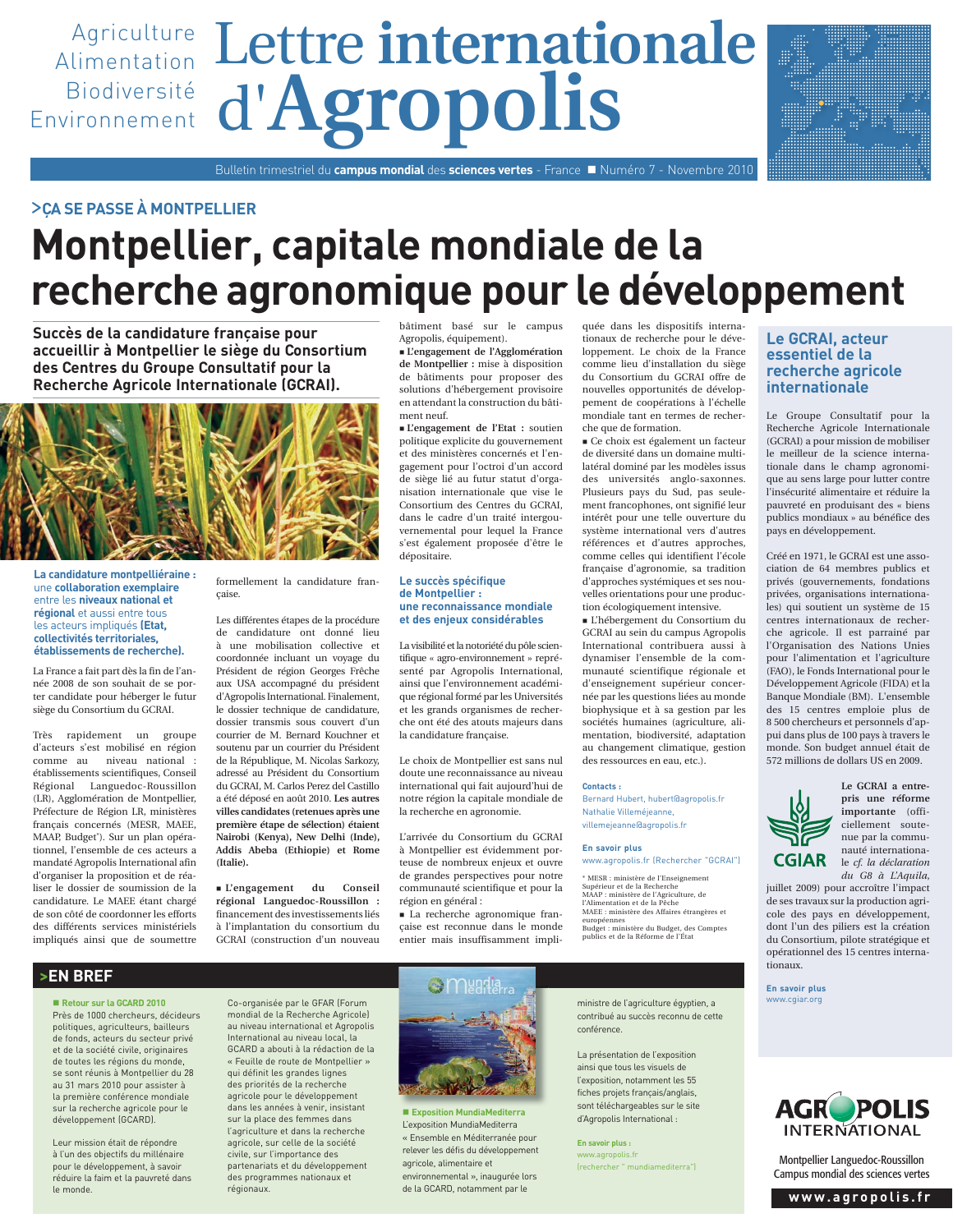

## >**ÇA SE PASSE À MONTPELLIER**

# **Montpellier, capitale mondiale de la recherche agronomique pour le développement**

**Succès de la candidature française pour accueillir à Montpellier le siège du Consortium des Centres du Groupe Consultatif pour la Recherche Agricole Internationale (GCRAI).**



**La candidature montpelliéraine :** une **collaboration exemplaire** entre les **niveaux national et régional** et aussi entre tous les acteurs impliqués **(Etat, collectivités territoriales, établissements de recherche).**

La France a fait part dès la fin de l'année 2008 de son souhait de se porter candidate pour héberger le futur siège du Consortium du GCRAI.

Très rapidement un groupe d'acteurs s'est mobilisé en région comme au niveau national : établissements scientifiques, Conseil Régional Languedoc-Roussillon (LR), Agglomération de Montpellier, Préfecture de Région LR, ministères français concernés (MESR, MAEE, MAAP, Budget\*). Sur un plan opérationnel, l'ensemble de ces acteurs a mandaté Agropolis International afin d'organiser la proposition et de réaliser le dossier de soumission de la candidature. Le MAEE étant chargé de son côté de coordonner les efforts des différents services ministériels impliqués ainsi que de soumettre

> **Retour sur la GCARD 2010** Près de 1000 chercheurs, décideurs politiques, agriculteurs, bailleurs de fonds, acteurs du secteur privé et de la société civile, originaires de toutes les régions du monde, se sont réunis à Montpellier du 28 au 31 mars 2010 pour assister à la première conférence mondiale sur la recherche agricole pour le développement (GCARD).

**>EN BREF**

Leur mission était de répondre à l'un des objectifs du millénaire pour le développement, à savoir réduire la faim et la pauvreté dans

le monde.

formellement la candidature française.

Les différentes étapes de la procédure de candidature ont donné lieu à une mobilisation collective et coordonnée incluant un voyage du Président de région Georges Frêche aux USA accompagné du président d'Agropolis International. Finalement, le dossier technique de candidature, dossier transmis sous couvert d'un courrier de M. Bernard Kouchner et soutenu par un courrier du Président de la République, M. Nicolas Sarkozy, adressé au Président du Consortium du GCRAI, M. Carlos Perez del Castillo a été déposé en août 2010. **Les autres villes candidates (retenues après une première étape de sélection) étaient Nairobi (Kenya), New Delhi (Inde), Addis Abeba (Ethiopie) et Rome (Italie).**

 **L'engagement du Conseil régional Languedoc-Roussillon :** financement des investissements liés à l'implantation du consortium du GCRAI (construction d'un nouveau

bâtiment basé sur le campus Agropolis, équipement).

 **L'engagement de l'Agglomération de Montpellier :** mise à disposition de bâtiments pour proposer des solutions d'hébergement provisoire en attendant la construction du bâtiment neuf.

 **L'engagement de l'Etat :** soutien politique explicite du gouvernement et des ministères concernés et l'engagement pour l'octroi d'un accord de siège lié au futur statut d'organisation internationale que vise le Consortium des Centres du GCRAI, dans le cadre d'un traité intergouvernemental pour lequel la France s'est également proposée d'être le dépositaire.

### **Le succès spécifique de Montpellier : une reconnaissance mondiale et des enjeux considérables**

La visibilité et la notoriété du pôle scientifique « agro-environnement » représenté par Agropolis International, ainsi que l'environnement académique régional formé par les Universités et les grands organismes de recherche ont été des atouts majeurs dans la candidature française.

Le choix de Montpellier est sans nul doute une reconnaissance au niveau international qui fait aujourd'hui de notre région la capitale mondiale de la recherche en agronomie.

L'arrivée du Consortium du GCRAI à Montpellier est évidemment porteuse de nombreux enjeux et ouvre de grandes perspectives pour notre communauté scientifique et pour la région en général :

 La recherche agronomique française est reconnue dans le monde entier mais insuffisamment impliquée dans les dispositifs internationaux de recherche pour le développement. Le choix de la France comme lieu d'installation du siège du Consortium du GCRAI offre de nouvelles opportunités de développement de coopérations à l'échelle mondiale tant en termes de recherche que de formation.

 Ce choix est également un facteur de diversité dans un domaine multilatéral dominé par les modèles issus des universités anglo-saxonnes. Plusieurs pays du Sud, pas seulement francophones, ont signifié leur intérêt pour une telle ouverture du système international vers d'autres références et d'autres approches, comme celles qui identifient l'école française d'agronomie, sa tradition d'approches systémiques et ses nouvelles orientations pour une production écologiquement intensive.

 L'hébergement du Consortium du GCRAI au sein du campus Agropolis International contribuera aussi à dynamiser l'ensemble de la communauté scientifique régionale et d'enseignement supérieur concernée par les questions liées au monde biophysique et à sa gestion par les sociétés humaines (agriculture, alimentation, biodiversité, adaptation au changement climatique, gestion des ressources en eau, etc.).

### **Contacts :**

Bernard Hubert, hubert@agropolis.fr Nathalie Villeméjeanne, villemejeanne@agropolis.fr

### **En savoir plus**

www.agropolis.fr (Rechercher "GCRAI")

\* MESR : ministère de l'Enseignement Supérieur et de la Recherche MAAP : ministère de l'Agriculture, de l'Alimentation et de la Pêche MAEE : ministère des Affaires étrangères et européennes Budget : ministère du Budget, des Comptes publics et de la Réforme de l'État

## **Le GCRAI, acteur essentiel de la recherche agricole internationale**

Le Groupe Consultatif pour la Recherche Agricole Internationale (GCRAI) a pour mission de mobiliser le meilleur de la science internationale dans le champ agronomique au sens large pour lutter contre l'insécurité alimentaire et réduire la pauvreté en produisant des « biens publics mondiaux » au bénéfice des pays en développement.

Créé en 1971, le GCRAI est une association de 64 membres publics et privés (gouvernements, fondations privées, organisations internationales) qui soutient un système de 15 centres internationaux de recherche agricole. Il est parrainé par l'Organisation des Nations Unies pour l'alimentation et l'agriculture (FAO), le Fonds International pour le Développement Agricole (FIDA) et la Banque Mondiale (BM). L'ensemble des 15 centres emploie plus de 8 500 chercheurs et personnels d'appui dans plus de 100 pays à travers le monde. Son budget annuel était de 572 millions de dollars US en 2009.



**Le GCRAI a entrepris une réforme importante** (officiellement soutenue par la communauté internationale *cf. la déclaration du G8 à L'Aquila*,

juillet 2009) pour accroître l'impact de ses travaux sur la production agricole des pays en développement, dont l'un des piliers est la création du Consortium, pilote stratégique et opérationnel des 15 centres internationaux.

**En savoir plus** www.cgiar.org



Montpellier Languedoc-Roussillon Campus mondial des sciences vertes

**www.agropolis.fr**

Co-organisée par le GFAR (Forum mondial de la Recherche Agricole) au niveau international et Agropolis International au niveau local, la GCARD a abouti à la rédaction de la « Feuille de route de Montpellier » qui définit les grandes lignes des priorités de la recherche agricole pour le développement dans les années à venir, insistant sur la place des femmes dans l'agriculture et dans la recherche agricole, sur celle de la société civile, sur l'importance des partenariats et du développement des programmes nationaux et régionaux.



 **Exposition MundiaMediterra**  L'exposition MundiaMediterra « Ensemble en Méditerranée pour relever les défis du développement agricole, alimentaire et environnemental », inaugurée lors de la GCARD, notamment par le

ministre de l'agriculture égyptien, a contribué au succès reconnu de cette conférence.

La présentation de l'exposition ainsi que tous les visuels de l'exposition, notamment les 55 fiches projets français/anglais, sont téléchargeables sur le site d'Agropolis International :

**En savoir plus :** www.agropolis.fr (rechercher " mundiamediterra")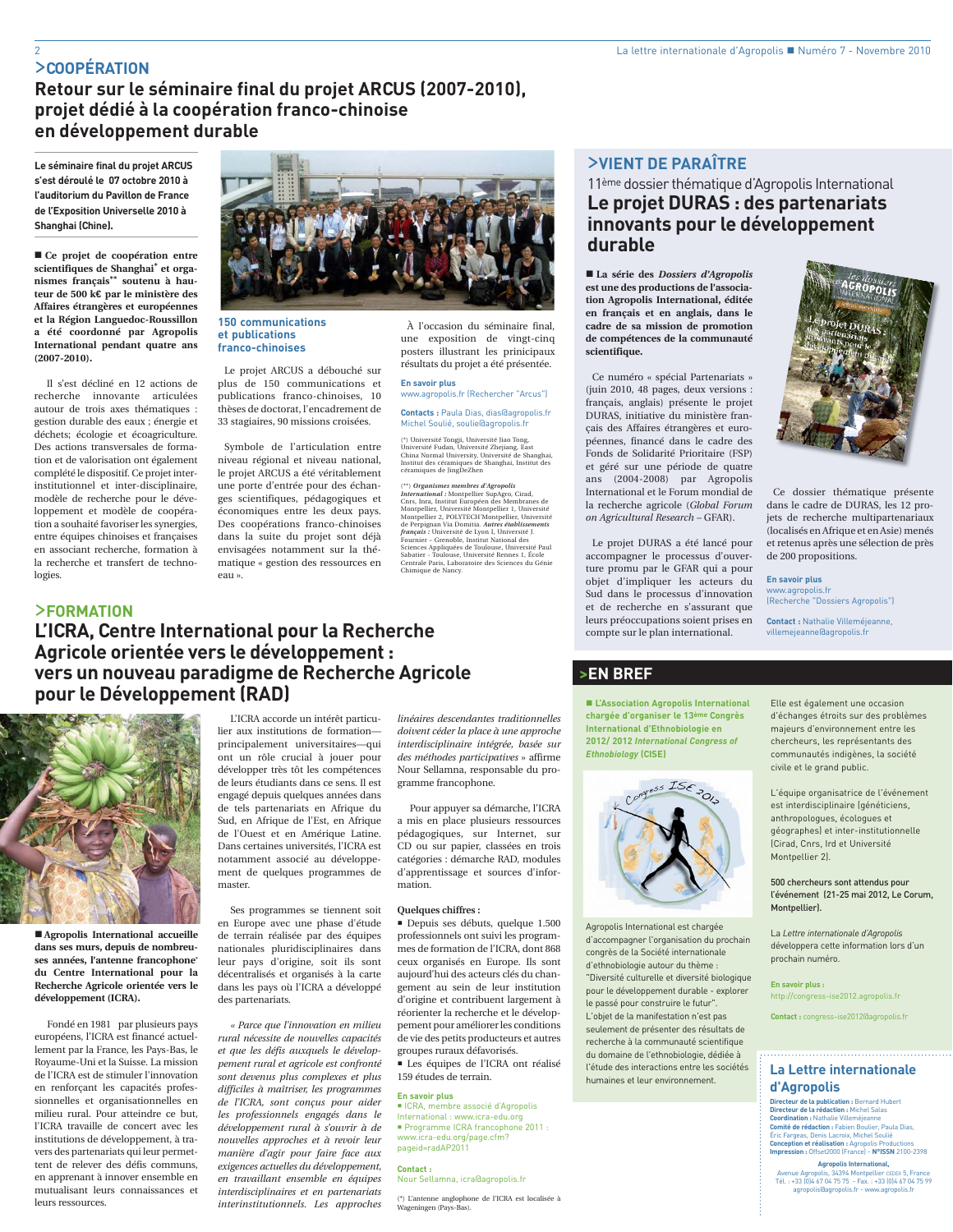## >**COOPÉRATION**

**Retour sur le séminaire final du projet ARCUS (2007-2010), projet dédié à la coopération franco-chinoise en développement durable**

**Le séminaire final du projet ARCUS s'est déroulé le 07 octobre 2010 à l'auditorium du Pavillon de France de l'Exposition Universelle 2010 à Shanghai (Chine).**

 **Ce projet de coopération entre scientifiques de Shanghai\* et organismes français\*\* soutenu à hauteur de 500 k€ par le ministère des Affaires étrangères et européennes et la Région Languedoc-Roussillon a été coordonné par Agropolis International pendant quatre ans (2007-2010).** 

Il s'est décliné en 12 actions de recherche innovante articulées autour de trois axes thématiques : gestion durable des eaux ; énergie et déchets; écologie et écoagriculture. Des actions transversales de formation et de valorisation ont également complété le dispositif. Ce projet interinstitutionnel et inter-disciplinaire, modèle de recherche pour le développement et modèle de coopération a souhaité favoriser les synergies, entre équipes chinoises et françaises en associant recherche, formation à la recherche et transfert de technologies.



### **150 communications et publications franco-chinoises**

Le projet ARCUS a débouché sur plus de 150 communications et publications franco-chinoises, 10 thèses de doctorat, l'encadrement de 33 stagiaires, 90 missions croisées.

Symbole de l'articulation entre niveau régional et niveau national, le projet ARCUS a été véritablement une porte d'entrée pour des échanges scientifiques, pédagogiques et économiques entre les deux pays. Des coopérations franco-chinoises dans la suite du projet sont déjà envisagées notamment sur la thématique « gestion des ressources en eau ».

## À l'occasion du séminaire final, une exposition de vingt-cinq posters illustrant les prinicipaux résultats du projet a été présentée.

**En savoir plus**  www.agropolis.fr (Rechercher "Arcus")

**Contacts :** Paula Dias, dias@agropolis.fr Michel Soulié, soulie@agropolis.fr

(\*) Université Tongji, Université Jiao Tong, Université Fudan, Université Zhejiang, East China Normal University, Université de Shanghai, Institut des céramiques de Shanghai, Institut des céramiques de JingDeZhen

(\*\*) Organismes membres d'Agropolis<br>International : Montpellier SupAgro, Cirad,<br>Cins, Inra, Institut Européen des Membranes de<br>Montpellier, Université Montpellier 1, Université<br>Montpellier 2, POLYTECH'Montpellier, Universi de Perpignan Via Domitia. *Autres établissements<br><i>français :* Université de Lyon I, Université J.<br>Fournier – Grenoble, Institut National des<br>Sciences Appliquées de Toulouse, Université Paul Sabatier - Toulouse, Université Rennes 1, École Centrale Paris, Laboratoire des Sciences du Génie Chimique de Nancy.

## >**VIENT DE PARAÎTRE**

11ème dossier thématique d'Agropolis International **Le projet DURAS : des partenariats innovants pour le développement durable**

 **La série des** *Dossiers d'Agropolis*  **est une des productions de l'association Agropolis International, éditée en français et en anglais, dans le cadre de sa mission de promotion de compétences de la communauté scientifique.** 

Ce numéro « spécial Partenariats » (juin 2010, 48 pages, deux versions : français, anglais) présente le projet DURAS, initiative du ministère français des Affaires étrangères et européennes, financé dans le cadre des Fonds de Solidarité Prioritaire (FSP) et géré sur une période de quatre ans (2004-2008) par Agropolis International et le Forum mondial de la recherche agricole (*Global Forum on Agricultural Research* – GFAR).

Le projet DURAS a été lancé pour accompagner le processus d'ouverture promu par le GFAR qui a pour objet d'impliquer les acteurs du Sud dans le processus d'innovation et de recherche en s'assurant que leurs préoccupations soient prises en compte sur le plan international.



Ce dossier thématique présente dans le cadre de DURAS, les 12 projets de recherche multipartenariaux (localisés en Afrique et en Asie) menés et retenus après une sélection de près de 200 propositions.

**En savoir plus** www.agropolis.fr (Recherche "Dossiers Agropolis")

**Contact :** Nathalie Villeméjeanne, villemejeanne@agropolis.fr

## >**FORMATION L'ICRA, Centre International pour la Recherche Agricole orientée vers le développement : vers un nouveau paradigme de Recherche Agricole pour le Développement (RAD)**



 **Agropolis International accueille dans ses murs, depuis de nombreuses années, l'antenne francophone\* du Centre International pour la Recherche Agricole orientée vers le développement (ICRA).**

Fondé en 1981 par plusieurs pays européens, l'ICRA est financé actuellement par la France, les Pays-Bas, le Royaume-Uni et la Suisse. La mission de l'ICRA est de stimuler l'innovation en renforçant les capacités professionnelles et organisationnelles en milieu rural. Pour atteindre ce but, l'ICRA travaille de concert avec les institutions de développement, à travers des partenariats qui leur permettent de relever des défis communs, en apprenant à innover ensemble en mutualisant leurs connaissances et leurs ressources.

L'ICRA accorde un intérêt particulier aux institutions de formation principalement universitaires—qui ont un rôle crucial à jouer pour développer très tôt les compétences de leurs étudiants dans ce sens. Il est engagé depuis quelques années dans de tels partenariats en Afrique du Sud, en Afrique de l'Est, en Afrique de l'Ouest et en Amérique Latine. Dans certaines universités, l'ICRA est notamment associé au développement de quelques programmes de master.

Ses programmes se tiennent soit en Europe avec une phase d'étude de terrain réalisée par des équipes nationales pluridisciplinaires dans leur pays d'origine, soit ils sont décentralisés et organisés à la carte dans les pays où l'ICRA a développé des partenariats.

*« Parce que l'innovation en milieu rural nécessite de nouvelles capacités et que les défis auxquels le développement rural et agricole est confronté sont devenus plus complexes et plus difficiles à maîtriser, les programmes de l'ICRA, sont conçus pour aider les professionnels engagés dans le développement rural à s'ouvrir à de nouvelles approches et à revoir leur manière d'agir pour faire face aux exigences actuelles du développement, en travaillant ensemble en équipes interdisciplinaires et en partenariats interinstitutionnels. Les approches* 

*linéaires descendantes traditionnelles doivent céder la place à une approche interdisciplinaire intégrée, basée sur des méthodes participatives* » affirme Nour Sellamna, responsable du programme francophone.

Pour appuyer sa démarche, l'ICRA a mis en place plusieurs ressources pédagogiques, sur Internet, sur CD ou sur papier, classées en trois catégories : démarche RAD, modules d'apprentissage et sources d'information.

### **Quelques chiffres :**

 Depuis ses débuts, quelque 1.500 professionnels ont suivi les programmes de formation de l'ICRA, dont 868 ceux organisés en Europe. Ils sont aujourd'hui des acteurs clés du changement au sein de leur institution d'origine et contribuent largement à réorienter la recherche et le développement pour améliorer les conditions de vie des petits producteurs et autres groupes ruraux défavorisés.

 Les équipes de l'ICRA ont réalisé 159 études de terrain.

### **En savoir plus**

 ICRA, membre associé d'Agropolis International : www.icra-edu.org Programme ICRA francophone 2011 : www.icra-edu.org/page.cfm? pageid=radAP2011

**Contact :**  Nour Sellamna, icra@agropolis.fr

(\*) L'antenne anglophone de l'ICRA est localisée à Wageningen (Pays-Bas).

## **>EN BREF**

 **L'Association Agropolis International chargée d'organiser le 13ème Congrès International d'Ethnobiologie en 2012/ 2012** *International Congress of Ethnobiology* **(CISE)**



Agropolis International est chargée d'accompagner l'organisation du prochain congrès de la Société internationale d'ethnobiologie autour du thème : "Diversité culturelle et diversité biologique pour le développement durable - explorer le passé pour construire le futur". L'objet de la manifestation n'est pas seulement de présenter des résultats de recherche à la communauté scientifique du domaine de l'ethnobiologie, dédiée à l'étude des interactions entre les sociétés humaines et leur environnement.

Elle est également une occasion d'échanges étroits sur des problèmes majeurs d'environnement entre les chercheurs, les représentants des communautés indigènes, la société civile et le grand public.

L'équipe organisatrice de l'événement est interdisciplinaire (généticiens, anthropologues, écologues et géographes) et inter-institutionnelle (Cirad, Cnrs, Ird et Université Montpellier 2).

### 500 chercheurs sont attendus pour l'événement (21-25 mai 2012, Le Corum, Montpellier).

La *Lettre internationale d'Agropolis*  développera cette information lors d'un prochain numéro.

**En savoir plus :** http://congress-ise2012.agropolis.fr

**Contact :** congress-ise2012@agropolis.fr

## **La Lettre internationale d'Agropolis**

**Directeur de la publication :** Bernard Hubert **Directeur de la rédaction :** Michel Salas **Coordination :** Nathalie Villeméjeanne **Comité de rédaction :** Fabien Boulier, Paula Dias, Éric Fargeas, Denis Lacroix, Michel Soulié **Conception et réalisation :** Agropolis Productions **Impression :** Offset2000 (France) - **N°ISSN** 2100-2398

**Agropolis International,**  Avenue Agropolis, 34394 Montpellier CEDEX 5, France Tél. : +33 (0)4 67 04 75 75 - Fax. : +33 (0)4 67 04 75 99 agropolis@agropolis.fr - www.agropolis.fr